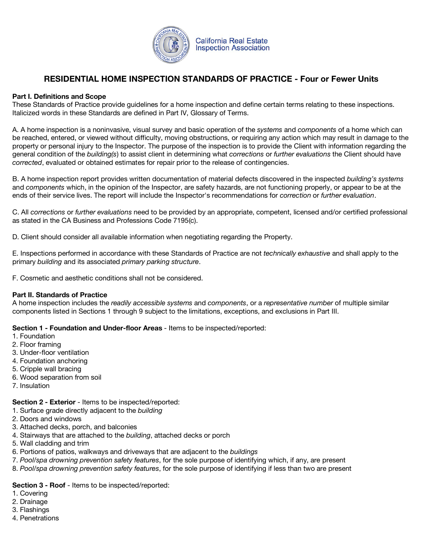

# **RESIDENTIAL HOME INSPECTION STANDARDS OF PRACTICE - Four or Fewer Units**

## **Part I. Definitions and Scope**

These Standards of Practice provide guidelines for a home inspection and define certain terms relating to these inspections. Italicized words in these Standards are defined in Part IV, Glossary of Terms.

A. A home inspection is a noninvasive, visual survey and basic operation of the *systems* and *components* of a home which can be reached, entered, or viewed without difficulty, moving obstructions, or requiring any action which may result in damage to the property or personal injury to the Inspector. The purpose of the inspection is to provide the Client with information regarding the general condition of the *building(s*) to assist client in determining what *corrections* or *further evaluations* the Client should have *corrected*, evaluated or obtained estimates for repair prior to the release of contingencies.

B. A home inspection report provides written documentation of material defects discovered in the inspected *building's systems* and *components* which, in the opinion of the Inspector, are safety hazards, are not functioning properly, or appear to be at the ends of their service lives. The report will include the Inspector's recommendations for *correction* or *further evaluation*.

C. All *corrections* or *further evaluations* need to be provided by an appropriate, competent, licensed and/or certified professional as stated in the CA Business and Professions Code 7195(c).

D. Client should consider all available information when negotiating regarding the Property.

E. Inspections performed in accordance with these Standards of Practice are not *technically exhaustive* and shall apply to the primary *building* and its associated *primary parking structure*.

F. Cosmetic and aesthetic conditions shall not be considered.

#### **Part II. Standards of Practice**

A home inspection includes the *readily accessible systems* and *components*, or a *representative number* of multiple similar components listed in Sections 1 through 9 subject to the limitations, exceptions, and exclusions in Part III.

**Section 1 - Foundation and Under-floor Areas** - Items to be inspected/reported:

- 1. Foundation
- 2. Floor framing
- 3. Under-floor ventilation
- 4. Foundation anchoring
- 5. Cripple wall bracing
- 6. Wood separation from soil
- 7. Insulation

**Section 2 - Exterior** - Items to be inspected/reported:

- 1. Surface grade directly adjacent to the *building*
- 2. Doors and windows
- 3. Attached decks, porch, and balconies
- 4. Stairways that are attached to the *building*, attached decks or porch
- 5. Wall cladding and trim
- 6. Portions of patios, walkways and driveways that are adjacent to the *buildings*
- 7. *Pool/spa drowning prevention safety features*, for the sole purpose of identifying which, if any, are present
- 8. *Pool/spa drowning prevention safety features*, for the sole purpose of identifying if less than two are present

#### **Section 3 - Roof** - Items to be inspected/reported:

- 1. Covering
- 2. Drainage
- 3. Flashings
- 4. Penetrations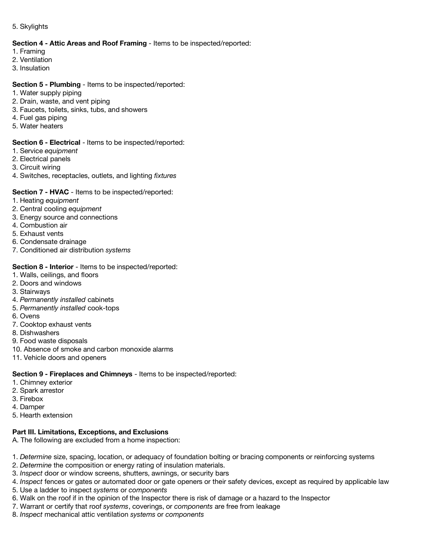5. Skylights

#### **Section 4 - Attic Areas and Roof Framing** - Items to be inspected/reported:

- 1. Framing
- 2. Ventilation
- 3. Insulation

#### **Section 5 - Plumbing** - Items to be inspected/reported:

- 1. Water supply piping
- 2. Drain, waste, and vent piping
- 3. Faucets, toilets, sinks, tubs, and showers
- 4. Fuel gas piping
- 5. Water heaters

#### **Section 6 - Electrical** - Items to be inspected/reported:

- 1. Service *equipment*
- 2. Electrical panels
- 3. Circuit wiring
- 4. Switches, receptacles, outlets, and lighting *fixtures*

## **Section 7 - HVAC** - Items to be inspected/reported:

- 1. Heating *equipment*
- 2. Central cooling *equipment*
- 3. Energy source and connections
- 4. Combustion air
- 5. Exhaust vents
- 6. Condensate drainage
- 7. Conditioned air distribution *systems*

#### **Section 8 - Interior** - Items to be inspected/reported:

- 1. Walls, ceilings, and floors
- 2. Doors and windows
- 3. Stairways
- 4. *Permanently installed* cabinets
- 5. *Permanently installed* cook-tops
- 6. Ovens
- 7. Cooktop exhaust vents
- 8. Dishwashers
- 9. Food waste disposals
- 10. Absence of smoke and carbon monoxide alarms
- 11. Vehicle doors and openers

#### **Section 9 - Fireplaces and Chimneys** - Items to be inspected/reported:

- 1. Chimney exterior
- 2. Spark arrestor
- 3. Firebox
- 4. Damper
- 5. Hearth extension

#### **Part III. Limitations, Exceptions, and Exclusions**

A. The following are excluded from a home inspection:

1. *Determine* size, spacing, location, or adequacy of foundation bolting or bracing components or reinforcing systems

- 2. *Determine* the composition or energy rating of insulation materials.
- 3. *Inspect* door or window screens, shutters, awnings, or security bars
- 4. *Inspect* fences or gates or automated door or gate openers or their safety devices, except as required by applicable law
- 5. Use a ladder to inspect *systems* or *components*
- 6. Walk on the roof if in the opinion of the Inspector there is risk of damage or a hazard to the Inspector
- 7. Warrant or certify that roof *systems*, coverings, or *components* are free from leakage
- 8. *Inspect* mechanical attic ventilation *systems* or *components*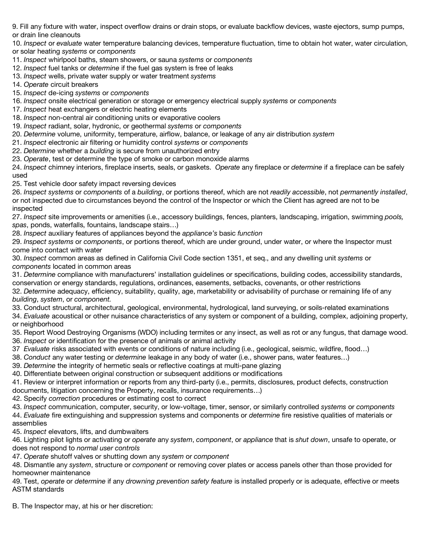9. Fill any fixture with water, inspect overflow drains or drain stops, or evaluate backflow devices, waste ejectors, sump pumps, or drain line cleanouts

10. *Inspect* or *evaluate* water temperature balancing devices, temperature fluctuation, time to obtain hot water, water circulation, or solar heating *systems* or *components*

- 11. *Inspect* whirlpool baths, steam showers, or sauna *systems* or *components*
- 12. *Inspect* fuel tanks or *determine* if the fuel gas system is free of leaks
- 13. *Inspect* wells, private water supply or water treatment *systems*

14. *Operate* circuit breakers

- 15. *Inspect* de-icing *systems* or *components*
- 16. *Inspect* onsite electrical generation or storage or emergency electrical supply *systems* or *components*
- 17. *Inspect* heat exchangers or electric heating elements
- 18. *Inspect* non-central air conditioning units or evaporative coolers
- 19. *Inspect* radiant, solar, hydronic, or geothermal *systems* or *components*
- 20. *Determine* volume, uniformity, temperature, airflow, balance, or leakage of any air distribution *system*
- 21. *Inspect* electronic air filtering or humidity control *systems* or *components*
- 22. *Determine* whether a *building* is secure from unauthorized entry
- 23. *Operate*, test or determine the type of smoke or carbon monoxide alarms

24. *Inspect* chimney interiors, fireplace inserts, seals, or gaskets. *Operate* any fireplace or *determine* if a fireplace can be safely used

25. Test vehicle door safety impact reversing devices

26. *Inspect systems* or *components* of a *building*, or portions thereof, which are not *readily accessible*, not *permanently installed*, or not inspected due to circumstances beyond the control of the Inspector or which the Client has agreed are not to be inspected

27. *Inspect* site improvements or amenities (i.e., accessory buildings, fences, planters, landscaping, irrigation, swimming *pools, spas*, ponds, waterfalls, fountains, landscape stairs…)

28. *Inspect* auxiliary features of appliances beyond the *appliance's* basic *function*

29. *Inspect systems* or *components*, or portions thereof, which are under ground, under water, or where the Inspector must come into contact with water

30. *Inspect* common areas as defined in California Civil Code section 1351, et seq., and any dwelling unit *systems* or *components* located in common areas

31. *Determine* compliance with manufacturers' installation guidelines or specifications, building codes, accessibility standards, conservation or energy standards, regulations, ordinances, easements, setbacks, covenants, or other restrictions

32. *Determine* adequacy, efficiency, suitability, quality, age, marketability or advisability of purchase or remaining life of any *building*, *system*, or *component.*

33. Conduct structural, architectural, geological, environmental, hydrological, land surveying, or soils-related examinations

34. *Evaluate* acoustical or other nuisance characteristics of any system or component of a building, complex, adjoining property, or neighborhood

35. Report Wood Destroying Organisms (WDO) including termites or any insect, as well as rot or any fungus, that damage wood. 36. *Inspect* or identification for the presence of animals or animal activity

- 37 *Evaluate* risks associated with events or conditions of nature including (i.e., geological, seismic, wildfire, flood…)
- 38. *Conduct* any water testing or *determine* leakage in any body of water (i.e., shower pans, water features…)

39. *Determine* the integrity of hermetic seals or reflective coatings at multi-pane glazing

40. Differentiate between original construction or subsequent additions or modifications

41. Review or interpret information or reports from any third-party (i.e., permits, disclosures, product defects, construction documents, litigation concerning the Property, recalls, insurance requirements…)

42. Specify *correction* procedures or estimating cost to correct

43. *Inspect* communication, computer, security, or low-voltage, timer, sensor, or similarly controlled *systems* or *components* 44. *Evaluate* fire extinguishing and suppression systems and components or *determine* fire resistive qualities of materials or assemblies

45. *Inspect* elevators, lifts, and dumbwaiters

46. Lighting pilot lights or activating or *operate* any *system*, *component*, or *appliance* that is *shut down*, unsafe to operate, or does not respond to *normal user controls*

47. *Operate* shutoff valves or shutting down any *system* or *component*

48. Dismantle any *system*, structure or *component* or removing cover plates or access panels other than those provided for homeowner maintenance

49. Test, *operate* or *determine* if any *drowning prevention safety feature* is installed properly or is adequate, effective or meets ASTM standards

B. The Inspector may, at his or her discretion: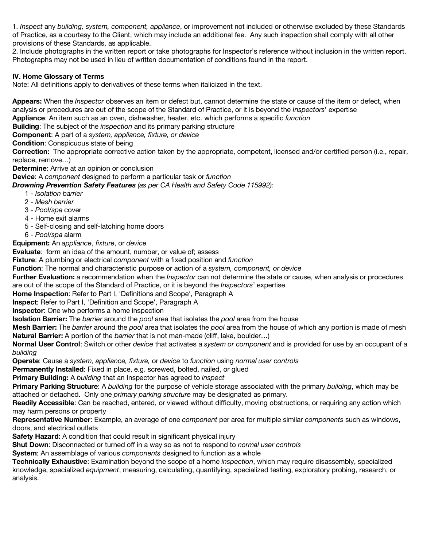1. *Inspect* any *building, system, component, appliance*, or improvement not included or otherwise excluded by these Standards of Practice, as a courtesy to the Client, which may include an additional fee. Any such inspection shall comply with all other provisions of these Standards, as applicable.

2. Include photographs in the written report or take photographs for Inspector's reference without inclusion in the written report. Photographs may not be used in lieu of written documentation of conditions found in the report.

## **IV. Home Glossary of Terms**

Note: All definitions apply to derivatives of these terms when italicized in the text.

**Appears:** When the *Inspector* observes an item or defect but, cannot determine the state or cause of the item or defect, when analysis or procedures are out of the scope of the Standard of Practice, or it is beyond the *Inspectors*' expertise

**Appliance**: An item such as an oven, dishwasher, heater, etc. which performs a specific *function*

**Building**: The subject of the *inspection* and its primary parking structure

**Component**: A part of a *system, appliance, fixture, or device*

**Condition**: Conspicuous state of being

**Correction:** The appropriate corrective action taken by the appropriate, competent, licensed and/or certified person (i.e., repair, replace, remove…)

**Determine**: Arrive at an opinion or conclusion

**Device**: A *component* designed to perform a particular task or *function*

*Drowning Prevention Safety Features (as per CA Health and Safety Code 115992):*

- 1 *Isolation barrier*
- 2 *Mesh barrier*
- 3 *Pool/spa* cover
- 4 Home exit alarms
- 5 Self-closing and self-latching home doors
- 6 *Pool/spa* alarm

**Equipment:** An *appliance*, *fixture*, or *device*

**Evaluate***:* form an idea of the amount, number, or value of; assess

**Fixture**: A plumbing or electrical *component* with a fixed position and *function*

**Function**: The normal and characteristic purpose or action of a *system, component, or device*

**Further Evaluation:** a recommendation when the *Inspector* can not determine the state or cause, when analysis or procedures are out of the scope of the Standard of Practice, or it is beyond the *Inspectors*' expertise

**Home Inspection**: Refer to Part I, 'Definitions and Scope', Paragraph A

**Inspect**: Refer to Part I, 'Definition and Scope', Paragraph A

**Inspector**: One who performs a home inspection

**Isolation Barrier:** The *barrier* around the *pool* area that isolates the *pool* area from the house

**Mesh Barrier:** The *barrier* around the *pool* area that isolates the *pool* area from the house of which any portion is made of mesh **Natural Barrier:** A portion of the *barrier* that is not man-made (cliff, lake, boulder…)

**Normal User Control**: Switch or other *device* that activates a *system or component* and is provided for use by an occupant of a *building*

**Operate**: Cause a *system, appliance, fixture,* or *device* to *function* using *normal user controls*

**Permanently Installed**: Fixed in place, e.g. screwed, bolted, nailed, or glued

**Primary Building:** A *building* that an Inspector has agreed to *inspect*

**Primary Parking Structure**: A *building* for the purpose of vehicle storage associated with the primary *building*, which may be attached or detached. Only one *primary parking structure* may be designated as primary.

**Readily Accessible**: Can be reached, entered, or viewed without difficulty, moving obstructions, or requiring any action which may harm persons or property

**Representative Number**: Example, an average of one *component* per area for multiple similar *components* such as windows, doors, and electrical outlets

**Safety Hazard**: A condition that could result in significant physical injury

**Shut Down**: Disconnected or turned off in a way so as not to respond to *normal user controls*

**System**: An assemblage of various *components* designed to function as a whole

**Technically Exhaustive**: Examination beyond the scope of a home *inspection*, which may require disassembly, specialized knowledge, specialized *equipment*, measuring, calculating, quantifying, specialized testing, exploratory probing, research, or analysis.